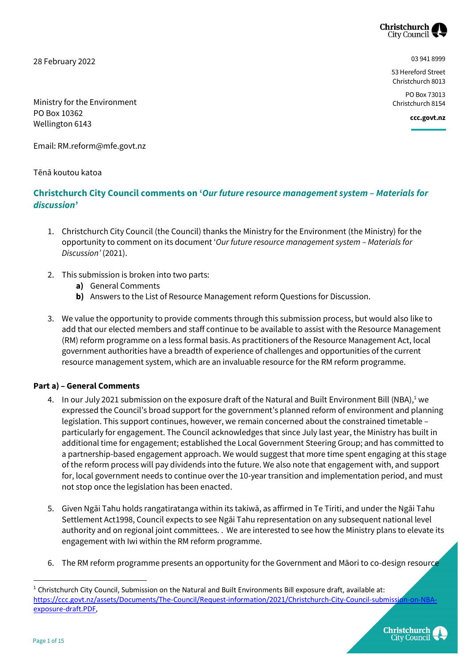

28 February 2022

03 941 8999

53 Hereford Street Christchurch 8013

PO Box 73013 Christchurch 8154

**ccc.govt.nz**

Ministry for the Environment PO Box 10362 Wellington 6143

Email: RM.reform@mfe.govt.nz

Tēnā koutou katoa

## **Christchurch City Council comments on '***Our future resource management system – Materials for discussion***'**

- 1. Christchurch City Council (the Council) thanks the Ministry for the Environment (the Ministry) for the opportunity to comment on its document '*Our future resource management system – Materials for Discussion'* (2021).
- 2. This submission is broken into two parts:
	- **a)** General Comments
	- **b)** Answers to the List of Resource Management reform Questions for Discussion.
- 3. We value the opportunity to provide comments through this submission process, but would also like to add that our elected members and staff continue to be available to assist with the Resource Management (RM) reform programme on a less formal basis. As practitioners of the Resource Management Act, local government authorities have a breadth of experience of challenges and opportunities of the current resource management system, which are an invaluable resource for the RM reform programme.

## **Part a) – General Comments**

- 4. In our July 2021 submission on the exposure draft of the Natural and Built Environment Bill (NBA),<sup>1</sup> we expressed the Council's broad support for the government's planned reform of environment and planning legislation. This support continues, however, we remain concerned about the constrained timetable – particularly for engagement. The Council acknowledges that since July last year, the Ministry has built in additional time for engagement; established the Local Government Steering Group; and has committed to a partnership-based engagement approach. We would suggest that more time spent engaging at this stage of the reform process will pay dividends into the future. We also note that engagement with, and support for, local government needs to continue over the 10-year transition and implementation period, and must not stop once the legislation has been enacted.
- 5. Given Ngāi Tahu holds rangatiratanga within its takiwā, as affirmed in Te Tiriti, and under the Ngāi Tahu Settlement Act1998, Council expects to see Ngāi Tahu representation on any subsequent national level authority and on regional joint committees. . We are interested to see how the Ministry plans to elevate its engagement with Iwi within the RM reform programme.
- 6. The RM reform programme presents an opportunity for the Government and Māori to co-design resource

 $1$  Christchurch City Council, Submission on the Natural and Built Environments Bill exposure draft, available at: [https://ccc.govt.nz/assets/Documents/The-Council/Request-information/2021/Christchurch-City-Council-submission-on-NBA](https://ccc.govt.nz/assets/Documents/The-Council/Request-information/2021/Christchurch-City-Council-submission-on-NBA-exposure-draft.PDF)[exposure-draft.PDF,](https://ccc.govt.nz/assets/Documents/The-Council/Request-information/2021/Christchurch-City-Council-submission-on-NBA-exposure-draft.PDF) 



 $\overline{a}$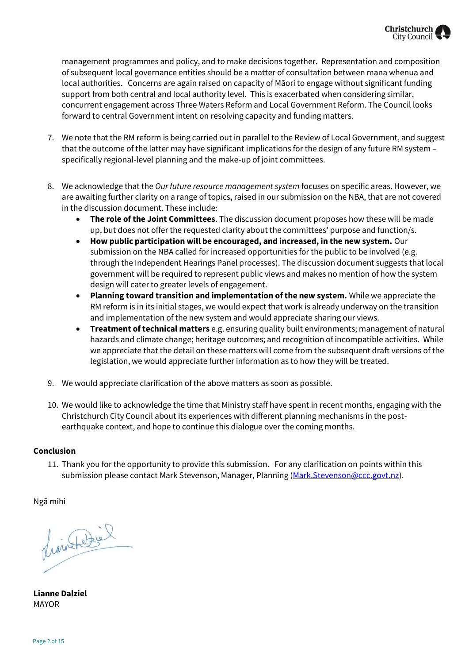

management programmes and policy, and to make decisions together. Representation and composition of subsequent local governance entities should be a matter of consultation between mana whenua and local authorities. Concerns are again raised on capacity of Māori to engage without significant funding support from both central and local authority level. This is exacerbated when considering similar, concurrent engagement across Three Waters Reform and Local Government Reform. The Council looks forward to central Government intent on resolving capacity and funding matters.

- 7. We note that the RM reform is being carried out in parallel to the Review of Local Government, and suggest that the outcome of the latter may have significant implications for the design of any future RM system – specifically regional-level planning and the make-up of joint committees.
- 8. We acknowledge that the *Our future resource management system* focuses on specific areas. However, we are awaiting further clarity on a range of topics, raised in our submission on the NBA, that are not covered in the discussion document. These include:
	- **The role of the Joint Committees**. The discussion document proposes how these will be made up, but does not offer the requested clarity about the committees' purpose and function/s.
	- **How public participation will be encouraged, and increased, in the new system.** Our submission on the NBA called for increased opportunities for the public to be involved (e.g. through the Independent Hearings Panel processes). The discussion document suggests that local government will be required to represent public views and makes no mention of how the system design will cater to greater levels of engagement.
	- **Planning toward transition and implementation of the new system.** While we appreciate the RM reform is in its initial stages, we would expect that work is already underway on the transition and implementation of the new system and would appreciate sharing our views.
	- **Treatment of technical matters** e.g. ensuring quality built environments; management of natural hazards and climate change; heritage outcomes; and recognition of incompatible activities. While we appreciate that the detail on these matters will come from the subsequent draft versions of the legislation, we would appreciate further information as to how they will be treated.
- 9. We would appreciate clarification of the above matters as soon as possible.
- 10. We would like to acknowledge the time that Ministry staff have spent in recent months, engaging with the Christchurch City Council about its experiences with different planning mechanisms in the postearthquake context, and hope to continue this dialogue over the coming months.

## **Conclusion**

11. Thank you for the opportunity to provide this submission. For any clarification on points within this submission please contact Mark Stevenson, Manager, Planning [\(Mark.Stevenson@ccc.govt.nz\)](mailto:Mark.Stevenson@ccc.govt.nz).

Ngā mihi

plimatette l

**Lianne Dalziel** MAYOR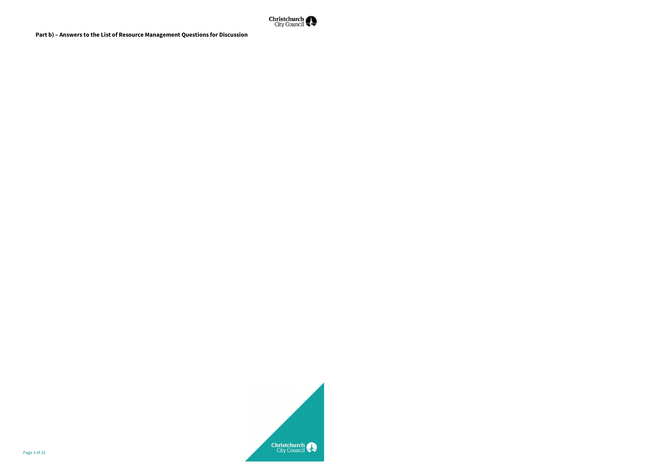

**Part b) – Answers to the List of Resource Management Questions for Discussion**

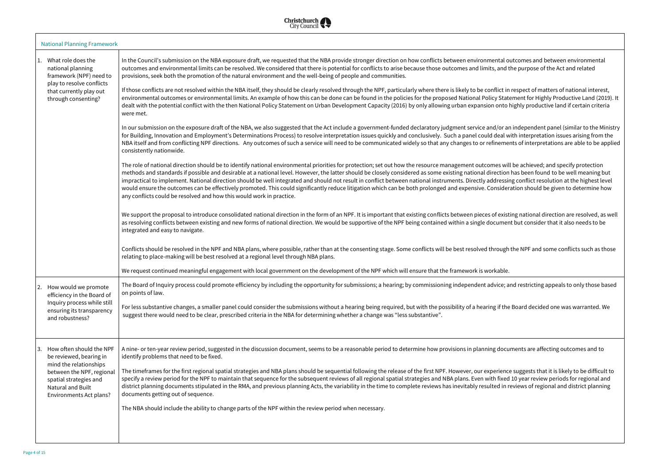

| <b>National Planning Framework</b> |                                                                                                                                                                                                                                                             |                                                                                                                                                                                                                                                                                                                                                                                                                                                                                                                                                                                                                                                                                                                                                                                                                                                                                                                                                                                                                                                                                                                                                                                                                                                                                                                                                                                                                                                                                                                                                                                                                                                                                                                                                                                                                                                                                                                                                                                                                                                                                                                                                                                                                                                                                                                                                                                                                                                                                                                                                                                                                                                                                                                                                                                                                                                                                                                                                                                                                                                                                                                                                                                                                                                                                                                                                                                                                                                                                                                                                                  |
|------------------------------------|-------------------------------------------------------------------------------------------------------------------------------------------------------------------------------------------------------------------------------------------------------------|------------------------------------------------------------------------------------------------------------------------------------------------------------------------------------------------------------------------------------------------------------------------------------------------------------------------------------------------------------------------------------------------------------------------------------------------------------------------------------------------------------------------------------------------------------------------------------------------------------------------------------------------------------------------------------------------------------------------------------------------------------------------------------------------------------------------------------------------------------------------------------------------------------------------------------------------------------------------------------------------------------------------------------------------------------------------------------------------------------------------------------------------------------------------------------------------------------------------------------------------------------------------------------------------------------------------------------------------------------------------------------------------------------------------------------------------------------------------------------------------------------------------------------------------------------------------------------------------------------------------------------------------------------------------------------------------------------------------------------------------------------------------------------------------------------------------------------------------------------------------------------------------------------------------------------------------------------------------------------------------------------------------------------------------------------------------------------------------------------------------------------------------------------------------------------------------------------------------------------------------------------------------------------------------------------------------------------------------------------------------------------------------------------------------------------------------------------------------------------------------------------------------------------------------------------------------------------------------------------------------------------------------------------------------------------------------------------------------------------------------------------------------------------------------------------------------------------------------------------------------------------------------------------------------------------------------------------------------------------------------------------------------------------------------------------------------------------------------------------------------------------------------------------------------------------------------------------------------------------------------------------------------------------------------------------------------------------------------------------------------------------------------------------------------------------------------------------------------------------------------------------------------------------------------------------------|
|                                    | What role does the<br>national planning<br>framework (NPF) need to<br>play to resolve conflicts<br>that currently play out<br>through consenting?                                                                                                           | In the Council's submission on the NBA exposure draft, we requested that the NBA provide stronger direction on how conflicts between environmental outcomes and between environmental<br>outcomes and environmental limits can be resolved. We considered that there is potential for conflicts to arise because those outcomes and limits, and the purpose of the Act and related<br>provisions, seek both the promotion of the natural environment and the well-being of people and communities.<br>If those conflicts are not resolved within the NBA itself, they should be clearly resolved through the NPF, particularly where there is likely to be conflict in respect of matters of national interest,<br>environmental outcomes or environmental limits. An example of how this can be done can be found in the policies for the proposed National Policy Statement for Highly Productive Land (2019). It<br>dealt with the potential conflict with the then National Policy Statement on Urban Development Capacity (2016) by only allowing urban expansion onto highly productive land if certain criteria<br>were met.<br>In our submission on the exposure draft of the NBA, we also suggested that the Act include a government-funded declaratory judgment service and/or an independent panel (similar to the Ministry<br>for Building, Innovation and Employment's Determinations Process) to resolve interpretation issues quickly and conclusively. Such a panel could deal with interpretation issues arising from the<br>NBA itself and from conflicting NPF directions. Any outcomes of such a service will need to be communicated widely so that any changes to or refinements of interpretations are able to be applied<br>consistently nationwide.<br>The role of national direction should be to identify national environmental priorities for protection; set out how the resource management outcomes will be achieved; and specify protection<br>methods and standards if possible and desirable at a national level. However, the latter should be closely considered as some existing national direction has been found to be well meaning but<br>impractical to implement. National direction should be well integrated and should not result in conflict between national instruments. Directly addressing conflict resolution at the highest level<br>would ensure the outcomes can be effectively promoted. This could significantly reduce litigation which can be both prolonged and expensive. Consideration should be given to determine how<br>any conflicts could be resolved and how this would work in practice.<br>We support the proposal to introduce consolidated national direction in the form of an NPF. It is important that existing conflicts between pieces of existing national direction are resolved, as well<br>as resolving conflicts between existing and new forms of national direction. We would be supportive of the NPF being contained within a single document but consider that it also needs to be<br>integrated and easy to navigate.<br>Conflicts should be resolved in the NPF and NBA plans, where possible, rather than at the consenting stage. Some conflicts will be best resolved through the NPF and some conflicts such as those<br>relating to place-making will be best resolved at a regional level through NBA plans.<br>We request continued meaningful engagement with local government on the development of the NPF which will ensure that the framework is workable. |
|                                    | How would we promote<br>2.<br>efficiency in the Board of<br>Inquiry process while still<br>ensuring its transparency<br>and robustness?<br>How often should the NPF<br>3.<br>be reviewed, bearing in<br>mind the relationships<br>between the NPF, regional | The Board of Inquiry process could promote efficiency by including the opportunity for submissions; a hearing; by commissioning independent advice; and restricting appeals to only those based<br>on points of law.<br>For less substantive changes, a smaller panel could consider the submissions without a hearing being required, but with the possibility of a hearing if the Board decided one was warranted. We<br>suggest there would need to be clear, prescribed criteria in the NBA for determining whether a change was "less substantive".<br>A nine- or ten-year review period, suggested in the discussion document, seems to be a reasonable period to determine how provisions in planning documents are affecting outcomes and to<br>identify problems that need to be fixed.<br>The timeframes for the first regional spatial strategies and NBA plans should be sequential following the release of the first NPF. However, our experience suggests that it is likely to be difficult to                                                                                                                                                                                                                                                                                                                                                                                                                                                                                                                                                                                                                                                                                                                                                                                                                                                                                                                                                                                                                                                                                                                                                                                                                                                                                                                                                                                                                                                                                                                                                                                                                                                                                                                                                                                                                                                                                                                                                                                                                                                                                                                                                                                                                                                                                                                                                                                                                                                                                                                                                    |
|                                    | spatial strategies and<br>Natural and Built<br>Environments Act plans?                                                                                                                                                                                      | specify a review period for the NPF to maintain that sequence for the subsequent reviews of all regional spatial strategies and NBA plans. Even with fixed 10 year review periods for regional and<br>district planning documents stipulated in the RMA, and previous planning Acts, the variability in the time to complete reviews has inevitably resulted in reviews of regional and district planning<br>documents getting out of sequence.<br>The NBA should include the ability to change parts of the NPF within the review period when necessary.                                                                                                                                                                                                                                                                                                                                                                                                                                                                                                                                                                                                                                                                                                                                                                                                                                                                                                                                                                                                                                                                                                                                                                                                                                                                                                                                                                                                                                                                                                                                                                                                                                                                                                                                                                                                                                                                                                                                                                                                                                                                                                                                                                                                                                                                                                                                                                                                                                                                                                                                                                                                                                                                                                                                                                                                                                                                                                                                                                                                        |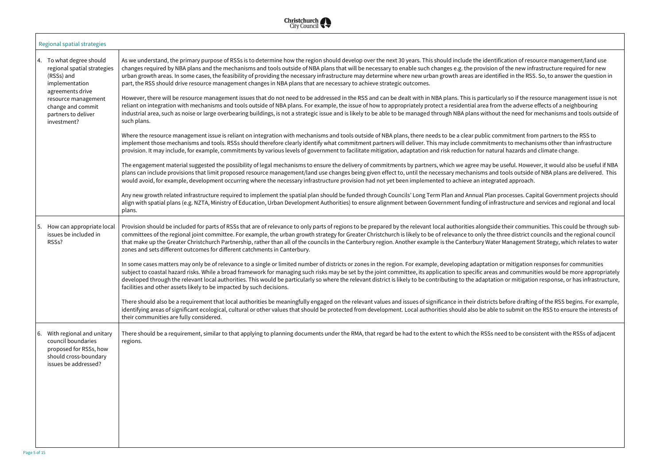cation of resource management/land use the new infrastructure required for new ed in the RSS. So, to answer the question in

ty so if the resource management issue is not the adverse effects of a neighbouring the need for mechanisms and tools outside of

mitment from partners to the RSS to ts to mechanisms other than infrastructure I hazards and climate change.

Iseful. However, it would also be useful if NBA pols outside of NBA plans are delivered. This

rocesses. Capital Government projects should be formal plan should be funded through  $\epsilon$ structure and services and regional and local

their communities. This could be through subree district councils and the regional council Management Strategy, which relates to water

r mitigation responses for communities nd communities would be more appropriately or mitigation response, or has infrastructure,

efore drafting of the RSS begins. For example,  $\alpha$  submit on the RSS to ensure the interests of

ed to be consistent with the RSSs of adjacent



|  | Regional spatial strategies                                                                                                      |                                                                                                                                                                                                                                                                                                                                                                                                                                                                                                                                                                                                                                      |
|--|----------------------------------------------------------------------------------------------------------------------------------|--------------------------------------------------------------------------------------------------------------------------------------------------------------------------------------------------------------------------------------------------------------------------------------------------------------------------------------------------------------------------------------------------------------------------------------------------------------------------------------------------------------------------------------------------------------------------------------------------------------------------------------|
|  | 4. To what degree should<br>regional spatial strategies<br>(RSSs) and<br>implementation                                          | As we understand, the primary purpose of RSSs is to determine how the region should develop over the next 30 years. This should include the identification of reso<br>changes required by NBA plans and the mechanisms and tools outside of NBA plans that will be necessary to enable such changes e.g. the provision of the new infi<br>urban growth areas. In some cases, the feasibility of providing the necessary infrastructure may determine where new urban growth areas are identified in the RSS<br>part, the RSS should drive resource management changes in NBA plans that are necessary to achieve strategic outcomes. |
|  | agreements drive<br>resource management<br>change and commit<br>partners to deliver<br>investment?                               | However, there will be resource management issues that do not need to be addressed in the RSS and can be dealt with in NBA plans. This is particularly so if the re<br>reliant on integration with mechanisms and tools outside of NBA plans. For example, the issue of how to appropriately protect a residential area from the adverse<br>industrial area, such as noise or large overbearing buildings, is not a strategic issue and is likely to be able to be managed through NBA plans without the need for<br>such plans.                                                                                                     |
|  |                                                                                                                                  | Where the resource management issue is reliant on integration with mechanisms and tools outside of NBA plans, there needs to be a clear public commitment fro<br>implement those mechanisms and tools. RSSs should therefore clearly identify what commitment partners will deliver. This may include commitments to mechan<br>provision. It may include, for example, commitments by various levels of government to facilitate mitigation, adaptation and risk reduction for natural hazards and                                                                                                                                   |
|  |                                                                                                                                  | The engagement material suggested the possibility of legal mechanisms to ensure the delivery of commitments by partners, which we agree may be useful. Howey<br>plans can include provisions that limit proposed resource management/land use changes being given effect to, until the necessary mechanisms and tools outside<br>would avoid, for example, development occurring where the necessary infrastructure provision had not yet been implemented to achieve an integrated approach.                                                                                                                                        |
|  |                                                                                                                                  | Any new growth related infrastructure required to implement the spatial plan should be funded through Councils' Long Term Plan and Annual Plan processes. Cap<br>align with spatial plans (e.g. NZTA, Ministry of Education, Urban Development Authorities) to ensure alignment between Government funding of infrastructure and<br>plans.                                                                                                                                                                                                                                                                                           |
|  | How can appropriate local<br>5.<br>issues be included in<br>RSS <sub>s?</sub>                                                    | Provision should be included for parts of RSSs that are of relevance to only parts of regions to be prepared by the relevant local authorities alongside their commu<br>committees of the regional joint committee. For example, the urban growth strategy for Greater Christchurch is likely to be of relevance to only the three district co<br>that make up the Greater Christchurch Partnership, rather than all of the councils in the Canterbury region. Another example is the Canterbury Water Management<br>zones and sets different outcomes for different catchments in Canterbury.                                       |
|  |                                                                                                                                  | In some cases matters may only be of relevance to a single or limited number of districts or zones in the region. For example, developing adaptation or mitigation<br>subject to coastal hazard risks. While a broad framework for managing such risks may be set by the joint committee, its application to specific areas and communi<br>developed through the relevant local authorities. This would be particularly so where the relevant district is likely to be contributing to the adaptation or mitigatio<br>facilities and other assets likely to be impacted by such decisions.                                           |
|  |                                                                                                                                  | There should also be a requirement that local authorities be meaningfully engaged on the relevant values and issues of significance in their districts before draftin<br>identifying areas of significant ecological, cultural or other values that should be protected from development. Local authorities should also be able to submit on t<br>their communities are fully considered.                                                                                                                                                                                                                                            |
|  | With regional and unitary<br>6.<br>council boundaries<br>proposed for RSSs, how<br>should cross-boundary<br>issues be addressed? | There should be a requirement, similar to that applying to planning documents under the RMA, that regard be had to the extent to which the RSSs need to be cons<br>regions.                                                                                                                                                                                                                                                                                                                                                                                                                                                          |
|  |                                                                                                                                  |                                                                                                                                                                                                                                                                                                                                                                                                                                                                                                                                                                                                                                      |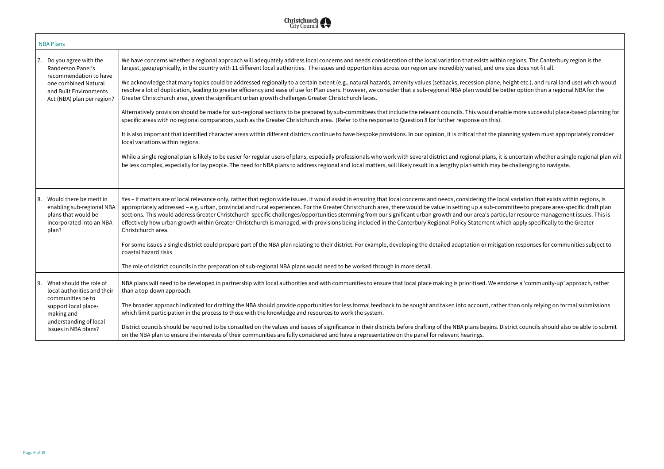in regions. The Canterbury region is the le size does not fit all.

height etc.), and rural land use) which would  $r$ better option than a regional NBA for the

able more successful place-based planning for

It in inportant identified areas different distributions distributions distributions. In the planning system mu

t is uncertain whether a single regional plan will be challenging to navigate.

ocal variation that exists within regions, is mmittee to prepare area-specific draft plan icular resource management issues. This is hich apply specifically to the Greater

ation responses for communities subject to

ndorse a 'community-up' approach, rather

er than only relying on formal submissions

District councils should also be able to submit



| <b>NBA Plans</b>                                                                                                                                                                   |                                                                                                                                                                                                                                                                                                                                                                                                                                                                                                                                                                                                                                                                                                                                                                                                                                                                                                                                                                                                                                                                                                                                                                                                                                                                                                                                                                                                                                                                                                                                                                                                          |
|------------------------------------------------------------------------------------------------------------------------------------------------------------------------------------|----------------------------------------------------------------------------------------------------------------------------------------------------------------------------------------------------------------------------------------------------------------------------------------------------------------------------------------------------------------------------------------------------------------------------------------------------------------------------------------------------------------------------------------------------------------------------------------------------------------------------------------------------------------------------------------------------------------------------------------------------------------------------------------------------------------------------------------------------------------------------------------------------------------------------------------------------------------------------------------------------------------------------------------------------------------------------------------------------------------------------------------------------------------------------------------------------------------------------------------------------------------------------------------------------------------------------------------------------------------------------------------------------------------------------------------------------------------------------------------------------------------------------------------------------------------------------------------------------------|
| Do you agree with the<br>17.<br>Randerson Panel's<br>recommendation to have<br>one combined Natural<br>and Built Environments<br>Act (NBA) plan per region?                        | We have concerns whether a regional approach will adequately address local concerns and needs consideration of the local variation that exists withi<br>largest, geographically, in the country with 11 different local authorities. The issues and opportunities across our region are incredibly varied, and one<br>We acknowledge that many topics could be addressed regionally to a certain extent (e.g., natural hazards, amenity values (setbacks, recession plane,<br>resolve a lot of duplication, leading to greater efficiency and ease of use for Plan users. However, we consider that a sub-regional NBA plan would be b<br>Greater Christchurch area, given the significant urban growth challenges Greater Christchurch faces.<br>Alternatively provision should be made for sub-regional sections to be prepared by sub-committees that include the relevant councils. This would ena<br>specific areas with no regional comparators, such as the Greater Christchurch area. (Refer to the response to Question 8 for further response on this).<br>It is also important that identified character areas within different districts continue to have bespoke provisions. In our opinion, it is critical that the pl<br>local variations within regions.<br>While a single regional plan is likely to be easier for regular users of plans, especially professionals who work with several district and regional plans, it<br>be less complex, especially for lay people. The need for NBA plans to address regional and local matters, will likely result in a lengthy plan which may l |
| Would there be merit in<br>8.<br>enabling sub-regional NBA<br>plans that would be<br>incorporated into an NBA<br>plan?                                                             | Yes - if matters are of local relevance only, rather that region wide issues. It would assist in ensuring that local concerns and needs, considering the lo<br>appropriately addressed - e.g. urban, provincial and rural experiences. For the Greater Christchurch area, there would be value in setting up a sub-cor<br>sections. This would address Greater Christchurch-specific challenges/opportunities stemming from our significant urban growth and our area's parti<br>effectively how urban growth within Greater Christchurch is managed, with provisions being included in the Canterbury Regional Policy Statement wh<br>Christchurch area.<br>For some issues a single district could prepare part of the NBA plan relating to their district. For example, developing the detailed adaptation or mitigation<br>coastal hazard risks.<br>The role of district councils in the preparation of sub-regional NBA plans would need to be worked through in more detail.                                                                                                                                                                                                                                                                                                                                                                                                                                                                                                                                                                                                                       |
| 9. What should the role of<br>local authorities and their $\parallel$<br>communities be to<br>support local place-<br>making and<br>understanding of local<br>issues in NBA plans? | NBA plans will need to be developed in partnership with local authorities and with communities to ensure that local place making is prioritised. We en<br>than a top-down approach.<br>The broader approach indicated for drafting the NBA should provide opportunities for less formal feedback to be sought and taken into account, rather<br>which limit participation in the process to those with the knowledge and resources to work the system.<br>District councils should be required to be consulted on the values and issues of significance in their districts before drafting of the NBA plans begins. D<br>on the NBA plan to ensure the interests of their communities are fully considered and have a representative on the panel for relevant hearings.                                                                                                                                                                                                                                                                                                                                                                                                                                                                                                                                                                                                                                                                                                                                                                                                                                 |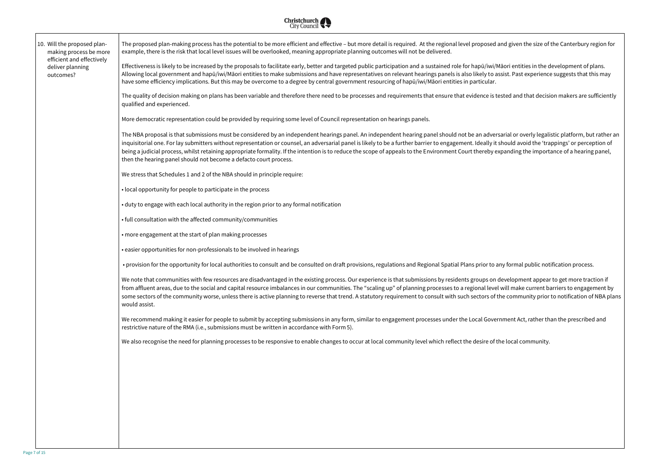Id given the size of the Canterbury region for

iori entities in the development of plans. ist. Past experience suggests that this may

ted and that decision makers are sufficiently

rial or overly legalistic platform, but rather an iould avoid the 'trappings' or perception of ianding the importance of a hearing panel,  $\overline{\phantom{x}}$ 

 $\mu$  formal public notification process.

we lopment appear to get more traction if fill make current barriers to engagement by *vill make current* balances e community prior to notification of NBA plans

ment Act, rather than the prescribed and

e local community.



| 10. Will the proposed plan-<br>making process be more<br>efficient and effectively<br>deliver planning<br>outcomes? | The proposed plan-making process has the potential to be more efficient and effective - but more detail is required. At the regional level proposed and<br>example, there is the risk that local level issues will be overlooked, meaning appropriate planning outcomes will not be delivered.                                                                                                                                                                                                                                                           |
|---------------------------------------------------------------------------------------------------------------------|----------------------------------------------------------------------------------------------------------------------------------------------------------------------------------------------------------------------------------------------------------------------------------------------------------------------------------------------------------------------------------------------------------------------------------------------------------------------------------------------------------------------------------------------------------|
|                                                                                                                     | Effectiveness is likely to be increased by the proposals to facilitate early, better and targeted public participation and a sustained role for hapū/iwi/Mā<br>Allowing local government and hapū/iwi/Māori entities to make submissions and have representatives on relevant hearings panels is also likely to assi<br>have some efficiency implications. But this may be overcome to a degree by central government resourcing of hapū/iwi/Māori entities in particular.                                                                               |
|                                                                                                                     | The quality of decision making on plans has been variable and therefore there need to be processes and requirements that ensure that evidence is test<br>qualified and experienced.                                                                                                                                                                                                                                                                                                                                                                      |
|                                                                                                                     | More democratic representation could be provided by requiring some level of Council representation on hearings panels.                                                                                                                                                                                                                                                                                                                                                                                                                                   |
|                                                                                                                     | The NBA proposal is that submissions must be considered by an independent hearings panel. An independent hearing panel should not be an adversar<br>inquisitorial one. For lay submitters without representation or counsel, an adversarial panel is likely to be a further barrier to engagement. Ideally it she<br>being a judicial process, whilst retaining appropriate formality. If the intention is to reduce the scope of appeals to the Environment Court thereby expander<br>then the hearing panel should not become a defacto court process. |
|                                                                                                                     | We stress that Schedules 1 and 2 of the NBA should in principle require:                                                                                                                                                                                                                                                                                                                                                                                                                                                                                 |
|                                                                                                                     | • local opportunity for people to participate in the process                                                                                                                                                                                                                                                                                                                                                                                                                                                                                             |
|                                                                                                                     | • duty to engage with each local authority in the region prior to any formal notification                                                                                                                                                                                                                                                                                                                                                                                                                                                                |
|                                                                                                                     | · full consultation with the affected community/communities                                                                                                                                                                                                                                                                                                                                                                                                                                                                                              |
|                                                                                                                     | • more engagement at the start of plan making processes                                                                                                                                                                                                                                                                                                                                                                                                                                                                                                  |
|                                                                                                                     | . easier opportunities for non-professionals to be involved in hearings                                                                                                                                                                                                                                                                                                                                                                                                                                                                                  |
|                                                                                                                     | • provision for the opportunity for local authorities to consult and be consulted on draft provisions, regulations and Regional Spatial Plans prior to any                                                                                                                                                                                                                                                                                                                                                                                               |
|                                                                                                                     | We note that communities with few resources are disadvantaged in the existing process. Our experience is that submissions by residents groups on de<br>from affluent areas, due to the social and capital resource imbalances in our communities. The "scaling up" of planning processes to a regional level w<br>some sectors of the community worse, unless there is active planning to reverse that trend. A statutory requirement to consult with such sectors of the<br>would assist.                                                               |
|                                                                                                                     | We recommend making it easier for people to submit by accepting submissions in any form, similar to engagement processes under the Local Governn<br>restrictive nature of the RMA (i.e., submissions must be written in accordance with Form 5).                                                                                                                                                                                                                                                                                                         |
|                                                                                                                     | We also recognise the need for planning processes to be responsive to enable changes to occur at local community level which reflect the desire of the                                                                                                                                                                                                                                                                                                                                                                                                   |
|                                                                                                                     |                                                                                                                                                                                                                                                                                                                                                                                                                                                                                                                                                          |
|                                                                                                                     |                                                                                                                                                                                                                                                                                                                                                                                                                                                                                                                                                          |
|                                                                                                                     |                                                                                                                                                                                                                                                                                                                                                                                                                                                                                                                                                          |
|                                                                                                                     |                                                                                                                                                                                                                                                                                                                                                                                                                                                                                                                                                          |
|                                                                                                                     |                                                                                                                                                                                                                                                                                                                                                                                                                                                                                                                                                          |
|                                                                                                                     |                                                                                                                                                                                                                                                                                                                                                                                                                                                                                                                                                          |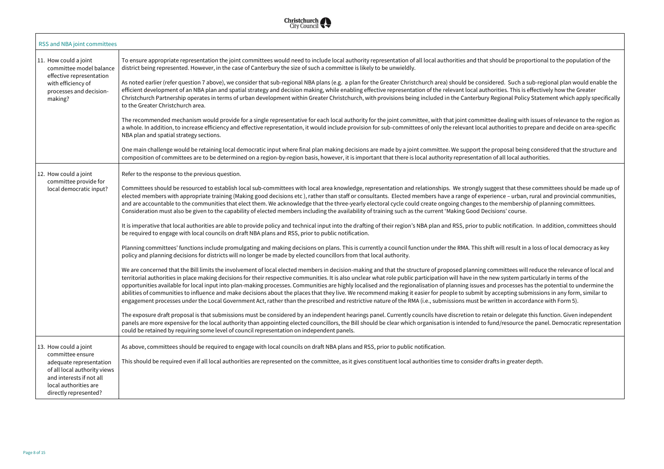Id be proportional to the population of the

d. Such a sub-regional plan would enable the es. This is effectively how the Greater ional Policy Statement which apply specifically

ealing with issues of relevance to the region as prities to prepare and decide on area-specific

oosal being considered that the structure and all local authorities.

that these committees should be made up of electers with appropriate training etc – urban, rural and provincial communities,  $r$ nembership of planning committees.

Inotification. In addition, committees should

Ill result in a loss of local democracy as key

nittees will reduce the relevance of local and system particularly in terms of the rocesses has the potential to undermine the epting submissions in any form, similar to en in accordance with Form 5).

delegate this function. Given independent resource the panel. Democratic representation

in greater depth.



| RSS and NBA joint committees                                                                                                                                                       |                                                                                                                                                                                                                                                                                                                                                                                                                                                                                                                                                                                                                                                                                                                                                                                                                                                                                                                                                                                                                                                                                                                                                                                                                                                                                                                                                                                                                                                                                                                                                                                                                                                                                                                                                                                                                                                                                                                                                                                                                                                                                                                                                                                                                                                                                                                                                                                                                                                                                                                                                                                      |
|------------------------------------------------------------------------------------------------------------------------------------------------------------------------------------|--------------------------------------------------------------------------------------------------------------------------------------------------------------------------------------------------------------------------------------------------------------------------------------------------------------------------------------------------------------------------------------------------------------------------------------------------------------------------------------------------------------------------------------------------------------------------------------------------------------------------------------------------------------------------------------------------------------------------------------------------------------------------------------------------------------------------------------------------------------------------------------------------------------------------------------------------------------------------------------------------------------------------------------------------------------------------------------------------------------------------------------------------------------------------------------------------------------------------------------------------------------------------------------------------------------------------------------------------------------------------------------------------------------------------------------------------------------------------------------------------------------------------------------------------------------------------------------------------------------------------------------------------------------------------------------------------------------------------------------------------------------------------------------------------------------------------------------------------------------------------------------------------------------------------------------------------------------------------------------------------------------------------------------------------------------------------------------------------------------------------------------------------------------------------------------------------------------------------------------------------------------------------------------------------------------------------------------------------------------------------------------------------------------------------------------------------------------------------------------------------------------------------------------------------------------------------------------|
| 11. How could a joint<br>committee model balance<br>effective representation<br>with efficiency of<br>processes and decision-<br>making?                                           | To ensure appropriate representation the joint committees would need to include local authority representation of all local authorities and that should be prop<br>district being represented. However, in the case of Canterbury the size of such a committee is likely to be unwieldly.<br>As noted earlier (refer question 7 above), we consider that sub-regional NBA plans (e.g. a plan for the Greater Christchurch area) should be considered. Such a s<br>efficient development of an NBA plan and spatial strategy and decision making, while enabling effective representation of the relevant local authorities. This is<br>Christchurch Partnership operates in terms of urban development within Greater Christchurch, with provisions being included in the Canterbury Regional Polic<br>to the Greater Christchurch area.<br>The recommended mechanism would provide for a single representative for each local authority for the joint committee, with that joint committee dealing with<br>a whole. In addition, to increase efficiency and effective representation, it would include provision for sub-committees of only the relevant local authorities to p<br>NBA plan and spatial strategy sections.<br>One main challenge would be retaining local democratic input where final plan making decisions are made by a joint committee. We support the proposal being<br>composition of committees are to be determined on a region-by-region basis, however, it is important that there is local authority representation of all local aut                                                                                                                                                                                                                                                                                                                                                                                                                                                                                                                                                                                                                                                                                                                                                                                                                                                                                                                                                                                                                     |
| 12. How could a joint<br>committee provide for<br>local democratic input?                                                                                                          | Refer to the response to the previous question.<br>Committees should be resourced to establish local sub-committees with local area knowledge, representation and relationships. We strongly suggest that thes<br>elected members with appropriate training (Making good decisions etc), rather than staff or consultants. Elected members have a range of experience – urban,<br>and are accountable to the communities that elect them. We acknowledge that the three-yearly electoral cycle could create ongoing changes to the membershi<br>Consideration must also be given to the capability of elected members including the availability of training such as the current 'Making Good Decisions' course.<br>It is imperative that local authorities are able to provide policy and technical input into the drafting of their region's NBA plan and RSS, prior to public notification<br>be required to engage with local councils on draft NBA plans and RSS, prior to public notification.<br>Planning committees' functions include promulgating and making decisions on plans. This is currently a council function under the RMA. This shift will result in<br>policy and planning decisions for districts will no longer be made by elected councillors from that local authority.<br>We are concerned that the Bill limits the involvement of local elected members in decision-making and that the structure of proposed planning committees will<br>territorial authorities in place making decisions for their respective communities. It is also unclear what role public participation will have in the new system pair<br>opportunities available for local input into plan-making processes. Communities are highly localised and the regionalisation of planning issues and processes h<br>abilities of communities to influence and make decisions about the places that they live. We recommend making it easier for people to submit by accepting sub<br>engagement processes under the Local Government Act, rather than the prescribed and restrictive nature of the RMA (i.e., submissions must be written in accor<br>The exposure draft proposal is that submissions must be considered by an independent hearings panel. Currently councils have discretion to retain or delegate<br>panels are more expensive for the local authority than appointing elected councillors, the Bill should be clear which organisation is intended to fund/resource t<br>could be retained by requiring some level of council representation on independent panels. |
| 13. How could a joint<br>committee ensure<br>adequate representation<br>of all local authority views<br>and interests if not all<br>local authorities are<br>directly represented? | As above, committees should be required to engage with local councils on draft NBA plans and RSS, prior to public notification.<br>This should be required even if all local authorities are represented on the committee, as it gives constituent local authorities time to consider drafts in greater of                                                                                                                                                                                                                                                                                                                                                                                                                                                                                                                                                                                                                                                                                                                                                                                                                                                                                                                                                                                                                                                                                                                                                                                                                                                                                                                                                                                                                                                                                                                                                                                                                                                                                                                                                                                                                                                                                                                                                                                                                                                                                                                                                                                                                                                                           |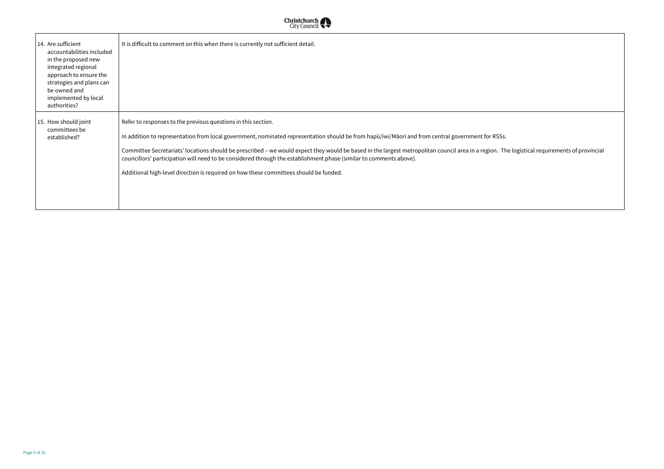## The logistical requirements of provincial



| 14. Are sufficient<br>accountabilities included<br>in the proposed new<br>integrated regional<br>approach to ensure the<br>strategies and plans can<br>be owned and<br>implemented by local<br>authorities? | It is difficult to comment on this when there is currently not sufficient detail.                                                                                                                                                                                                                                                                                                                                                                                                                                                                                                           |
|-------------------------------------------------------------------------------------------------------------------------------------------------------------------------------------------------------------|---------------------------------------------------------------------------------------------------------------------------------------------------------------------------------------------------------------------------------------------------------------------------------------------------------------------------------------------------------------------------------------------------------------------------------------------------------------------------------------------------------------------------------------------------------------------------------------------|
| 15. How should joint<br>committees be<br>established?                                                                                                                                                       | Refer to responses to the previous questions in this section.<br>In addition to representation from local government, nominated representation should be from hapū/iwi/Māori and from central government for RSSs.<br>Committee Secretariats' locations should be prescribed - we would expect they would be based in the largest metropolitan council area in a region. The<br>councillors' participation will need to be considered through the establishment phase (similar to comments above).<br>Additional high-level direction is required on how these committees should be funded. |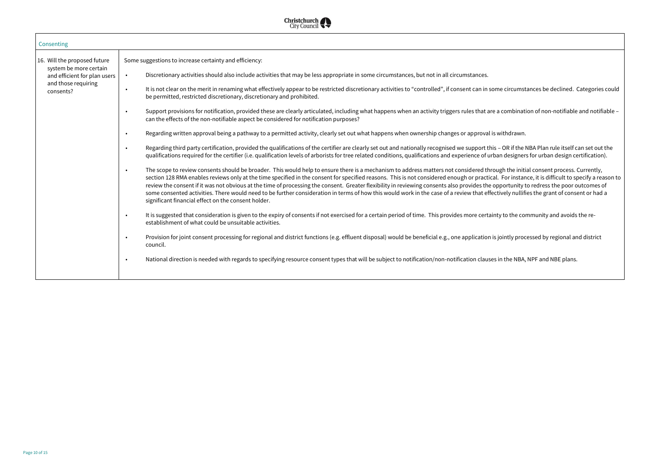circumstances be declined. Categories could ombination of non-notifiable and notifiable -OR if the NBA Plan rule itself can set out the designers for urban design certification). n the initial consent process. Currently, For instance, it is difficult to specify a reason to ortunity to redress the poor outcomes of rely nullifies the grant of consent or had a to the community and avoids the re-

intly processed by regional and district

the NBA, NPF and NBE plans.



| Consenting                                                                                                                 |                                                                                                                                                                                                                                                                                                                                                                                                                                                                                                                                                                                                                                                                                                                                                                                                                                                                                                                                                                                                                                                                                                                                                                                                                                                                                                                                                                                                                                                                                                                                                                                                                                                                                                                                                                                                                                                                                                                                                                                                                                                                                                                                                                                                                                                                                                                                                                                                                                                                                                                                                                                 |
|----------------------------------------------------------------------------------------------------------------------------|---------------------------------------------------------------------------------------------------------------------------------------------------------------------------------------------------------------------------------------------------------------------------------------------------------------------------------------------------------------------------------------------------------------------------------------------------------------------------------------------------------------------------------------------------------------------------------------------------------------------------------------------------------------------------------------------------------------------------------------------------------------------------------------------------------------------------------------------------------------------------------------------------------------------------------------------------------------------------------------------------------------------------------------------------------------------------------------------------------------------------------------------------------------------------------------------------------------------------------------------------------------------------------------------------------------------------------------------------------------------------------------------------------------------------------------------------------------------------------------------------------------------------------------------------------------------------------------------------------------------------------------------------------------------------------------------------------------------------------------------------------------------------------------------------------------------------------------------------------------------------------------------------------------------------------------------------------------------------------------------------------------------------------------------------------------------------------------------------------------------------------------------------------------------------------------------------------------------------------------------------------------------------------------------------------------------------------------------------------------------------------------------------------------------------------------------------------------------------------------------------------------------------------------------------------------------------------|
| 16. Will the proposed future<br>system be more certain<br>and efficient for plan users<br>and those requiring<br>consents? | Some suggestions to increase certainty and efficiency:<br>Discretionary activities should also include activities that may be less appropriate in some circumstances, but not in all circumstances.<br>$\bullet$<br>It is not clear on the merit in renaming what effectively appear to be restricted discretionary activities to "controlled", if consent can in some circumst<br>$\bullet$<br>be permitted, restricted discretionary, discretionary and prohibited.<br>Support provisions for notification, provided these are clearly articulated, including what happens when an activity triggers rules that are a combinat<br>$\bullet$<br>can the effects of the non-notifiable aspect be considered for notification purposes?<br>Regarding written approval being a pathway to a permitted activity, clearly set out what happens when ownership changes or approval is withdrawn.<br>$\bullet$<br>Regarding third party certification, provided the qualifications of the certifier are clearly set out and nationally recognised we support this - OR if the<br>$\bullet$<br>qualifications required for the certifier (i.e. qualification levels of arborists for tree related conditions, qualifications and experience of urban designer<br>The scope to review consents should be broader. This would help to ensure there is a mechanism to address matters not considered through the initional<br>$\bullet$<br>section 128 RMA enables reviews only at the time specified in the consent for specified reasons. This is not considered enough or practical. For instar<br>review the consent if it was not obvious at the time of processing the consent. Greater flexibility in reviewing consents also provides the opportunity t<br>some consented activities. There would need to be further consideration in terms of how this would work in the case of a review that effectively nullif<br>significant financial effect on the consent holder.<br>It is suggested that consideration is given to the expiry of consents if not exercised for a certain period of time. This provides more certainty to the co<br>$\bullet$<br>establishment of what could be unsuitable activities.<br>Provision for joint consent processing for regional and district functions (e.g. effluent disposal) would be beneficial e.g., one application is jointly prod<br>$\bullet$<br>council.<br>National direction is needed with regards to specifying resource consent types that will be subject to notification/non-notification clauses in the NBA,<br>$\bullet$ |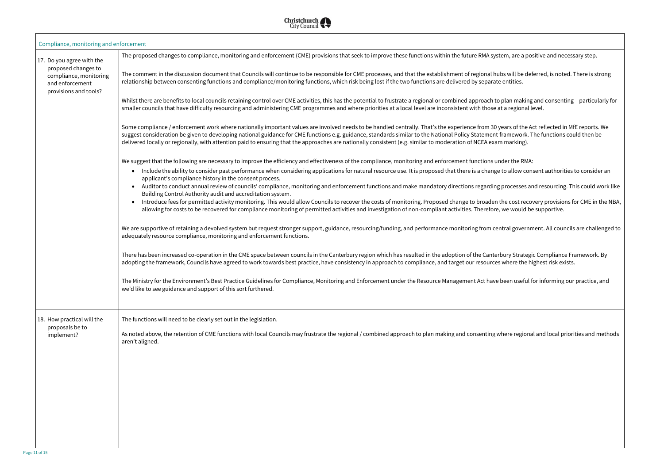em, are a positive and necessary step.

- $\sigma$  will be deferred, is noted. There is strong
- plan making and consenting particularly for
- ears of the Act reflected in MfE reports. We ramework. The functions could then be
- 
- to allow consent authorities to consider an
- auditor to conset annual review of conserving and resourcing and resourcing and mandators and resourcing and m
- he cost recovery provisions for CME in the NBA, we would be supportive.
- tral government. All councils are challenged to
- oury Strategic Compliance Framework. By where the highest risk exists.
- been useful for informing our practice, and

here regional and local priorities and methods



| Compliance, monitoring and enforcement                                                                                 |                                                                                                                                                                                                                                                                                                                                                                                                                                                                                                                                                                                                                                                                                                                                                                                                                                                                                                                                                                                                                                                                                                                                                                                                                                                                                                                                                                                                                                                                                                                                                                                                                                                                                                                                                                                                                                                                                                                                                                                                                                                                                                                                                                                                                                                                                                                                                                                                                                                                                                                                                                                                                                                                                                                                                                                                                                                                                                                                                                                                                                                                                                                                                                                                                    |
|------------------------------------------------------------------------------------------------------------------------|--------------------------------------------------------------------------------------------------------------------------------------------------------------------------------------------------------------------------------------------------------------------------------------------------------------------------------------------------------------------------------------------------------------------------------------------------------------------------------------------------------------------------------------------------------------------------------------------------------------------------------------------------------------------------------------------------------------------------------------------------------------------------------------------------------------------------------------------------------------------------------------------------------------------------------------------------------------------------------------------------------------------------------------------------------------------------------------------------------------------------------------------------------------------------------------------------------------------------------------------------------------------------------------------------------------------------------------------------------------------------------------------------------------------------------------------------------------------------------------------------------------------------------------------------------------------------------------------------------------------------------------------------------------------------------------------------------------------------------------------------------------------------------------------------------------------------------------------------------------------------------------------------------------------------------------------------------------------------------------------------------------------------------------------------------------------------------------------------------------------------------------------------------------------------------------------------------------------------------------------------------------------------------------------------------------------------------------------------------------------------------------------------------------------------------------------------------------------------------------------------------------------------------------------------------------------------------------------------------------------------------------------------------------------------------------------------------------------------------------------------------------------------------------------------------------------------------------------------------------------------------------------------------------------------------------------------------------------------------------------------------------------------------------------------------------------------------------------------------------------------------------------------------------------------------------------------------------------|
| 17. Do you agree with the<br>proposed changes to<br>compliance, monitoring<br>and enforcement<br>provisions and tools? | The proposed changes to compliance, monitoring and enforcement (CME) provisions that seek to improve these functions within the future RMA system, are a positive<br>The comment in the discussion document that Councils will continue to be responsible for CME processes, and that the establishment of regional hubs will be deferre<br>relationship between consenting functions and compliance/monitoring functions, which risk being lost if the two functions are delivered by separate entities.<br>Whilst there are benefits to local councils retaining control over CME activities, this has the potential to frustrate a regional or combined approach to plan making and<br>smaller councils that have difficulty resourcing and administering CME programmes and where priorities at a local level are inconsistent with those at a regional level.<br>Some compliance / enforcement work where nationally important values are involved needs to be handled centrally. That's the experience from 30 years of the Act re<br>suggest consideration be given to developing national guidance for CME functions e.g. guidance, standards similar to the National Policy Statement framework. The f<br>delivered locally or regionally, with attention paid to ensuring that the approaches are nationally consistent (e.g. similar to moderation of NCEA exam marking).<br>We suggest that the following are necessary to improve the efficiency and effectiveness of the compliance, monitoring and enforcement functions under the RMA:<br>Include the ability to consider past performance when considering applications for natural resource use. It is proposed that there is a change to allow consent<br>$\bullet$<br>applicant's compliance history in the consent process.<br>Auditor to conduct annual review of councils' compliance, monitoring and enforcement functions and make mandatory directions regarding processes and re<br>$\bullet$<br>Building Control Authority audit and accreditation system.<br>Introduce fees for permitted activity monitoring. This would allow Councils to recover the costs of monitoring. Proposed change to broaden the cost recovery<br>$\bullet$<br>allowing for costs to be recovered for compliance monitoring of permitted activities and investigation of non-compliant activities. Therefore, we would be sup<br>We are supportive of retaining a devolved system but request stronger support, guidance, resourcing/funding, and performance monitoring from central government<br>adequately resource compliance, monitoring and enforcement functions.<br>There has been increased co-operation in the CME space between councils in the Canterbury region which has resulted in the adoption of the Canterbury Strategic Co<br>adopting the framework, Councils have agreed to work towards best practice, have consistency in approach to compliance, and target our resources where the highere<br>The Ministry for the Environment's Best Practice Guidelines for Compliance, Monitoring and Enforcement under the Resource Management Act have been useful for in<br>we'd like to see guidance and support of this sort furthered. |
| 18. How practical will the<br>proposals be to<br>implement?                                                            | The functions will need to be clearly set out in the legislation.<br>As noted above, the retention of CME functions with local Councils may frustrate the regional / combined approach to plan making and consenting where regional and<br>aren't aligned.                                                                                                                                                                                                                                                                                                                                                                                                                                                                                                                                                                                                                                                                                                                                                                                                                                                                                                                                                                                                                                                                                                                                                                                                                                                                                                                                                                                                                                                                                                                                                                                                                                                                                                                                                                                                                                                                                                                                                                                                                                                                                                                                                                                                                                                                                                                                                                                                                                                                                                                                                                                                                                                                                                                                                                                                                                                                                                                                                         |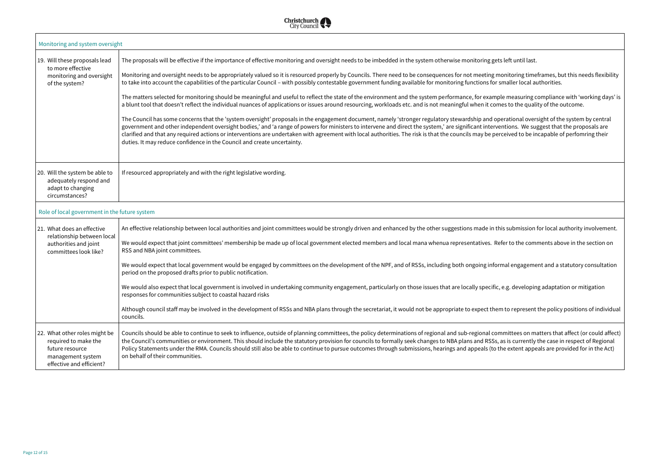onitoring timeframes, but this needs flexibility maller local authorities.

Ie measuring compliance with 'working days' is es to the quality of the outcome.

erational oversight of the system by central ntions. We suggest that the proposals are ceived to be incapable of perfomring their

is submission for local authority involvement.

fer to the comments above in the section on

mal engagement and a statutory consultation

e.g. developing adaptation or mitigation

n to represent the policy positions of individual

mittees on matters that affect (or could affect) as is currently the case in respect of Regional ne extent appeals are provided for in the Act)



| Monitoring and system oversight                                                                                           |                                                                                                                                                                                                                                                                                                                                                                                                                                                                                                                                                                                                                                                                                                                                                                                                                                                                                                                                                                                                                                                                                                                                                                                                                                                                                                                                                                                                                                                              |
|---------------------------------------------------------------------------------------------------------------------------|--------------------------------------------------------------------------------------------------------------------------------------------------------------------------------------------------------------------------------------------------------------------------------------------------------------------------------------------------------------------------------------------------------------------------------------------------------------------------------------------------------------------------------------------------------------------------------------------------------------------------------------------------------------------------------------------------------------------------------------------------------------------------------------------------------------------------------------------------------------------------------------------------------------------------------------------------------------------------------------------------------------------------------------------------------------------------------------------------------------------------------------------------------------------------------------------------------------------------------------------------------------------------------------------------------------------------------------------------------------------------------------------------------------------------------------------------------------|
| 19. Will these proposals lead<br>to more effective<br>monitoring and oversight<br>of the system?                          | The proposals will be effective if the importance of effective monitoring and oversight needs to be imbedded in the system otherwise monitoring gets left until last.<br>Monitoring and oversight needs to be appropriately valued so it is resourced properly by Councils. There need to be consequences for not meeting monitoring time<br>to take into account the capabilities of the particular Council - with possibly contestable government funding available for monitoring functions for smaller local au<br>The matters selected for monitoring should be meaningful and useful to reflect the state of the environment and the system performance, for example measuring c<br>a blunt tool that doesn't reflect the individual nuances of applications or issues around resourcing, workloads etc. and is not meaningful when it comes to the quali<br>The Council has some concerns that the 'system oversight' proposals in the engagement document, namely 'stronger regulatory stewardship and operational overs<br>government and other independent oversight bodies,' and 'a range of powers for ministers to intervene and direct the system,' are significant interventions. We sug<br>clarified and that any required actions or interventions are undertaken with agreement with local authorities. The risk is that the councils may be perceived to be in<br>duties. It may reduce confidence in the Council and create uncertainty. |
| 20. Will the system be able to<br>adequately respond and<br>adapt to changing<br>circumstances?                           | If resourced appropriately and with the right legislative wording.                                                                                                                                                                                                                                                                                                                                                                                                                                                                                                                                                                                                                                                                                                                                                                                                                                                                                                                                                                                                                                                                                                                                                                                                                                                                                                                                                                                           |
| Role of local government in the future system                                                                             |                                                                                                                                                                                                                                                                                                                                                                                                                                                                                                                                                                                                                                                                                                                                                                                                                                                                                                                                                                                                                                                                                                                                                                                                                                                                                                                                                                                                                                                              |
| 21. What does an effective<br>relationship between local<br>authorities and joint<br>committees look like?                | An effective relationship between local authorities and joint committees would be strongly driven and enhanced by the other suggestions made in this submission t<br>We would expect that joint committees' membership be made up of local government elected members and local mana whenua representatives. Refer to the comi<br>RSS and NBA joint committees.<br>We would expect that local government would be engaged by committees on the development of the NPF, and of RSSs, including both ongoing informal engageme<br>period on the proposed drafts prior to public notification.<br>We would also expect that local government is involved in undertaking community engagement, particularly on those issues that are locally specific, e.g. developin<br>responses for communities subject to coastal hazard risks<br>Although council staff may be involved in the development of RSSs and NBA plans through the secretariat, it would not be appropriate to expect them to represent<br>councils.                                                                                                                                                                                                                                                                                                                                                                                                                                              |
| 22. What other roles might be<br>required to make the<br>future resource<br>management system<br>effective and efficient? | Councils should be able to continue to seek to influence, outside of planning committees, the policy determinations of regional and sub-regional committees on ma<br>the Council's communities or environment. This should include the statutory provision for councils to formally seek changes to NBA plans and RSSs, as is currently<br>Policy Statements under the RMA. Councils should still also be able to continue to pursue outcomes through submissions, hearings and appeals (to the extent appe<br>on behalf of their communities.                                                                                                                                                                                                                                                                                                                                                                                                                                                                                                                                                                                                                                                                                                                                                                                                                                                                                                               |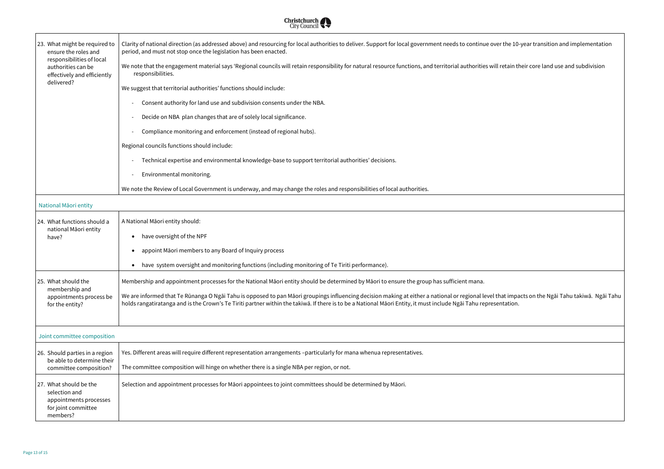at impacts on the Ngāi Tahu takiwā. Ngāi Tahu



| 23. What might be required to<br>ensure the roles and                                                | Clarity of national direction (as addressed above) and resourcing for local authorities to deliver. Support for local government needs to continue over the 10-year transition and implementation<br>period, and must not stop once the legislation has been enacted.                                                                                               |
|------------------------------------------------------------------------------------------------------|---------------------------------------------------------------------------------------------------------------------------------------------------------------------------------------------------------------------------------------------------------------------------------------------------------------------------------------------------------------------|
| responsibilities of local<br>authorities can be<br>effectively and efficiently                       | We note that the engagement material says 'Regional councils will retain responsibility for natural resource functions, and territorial authorities will retain their core land use and subdivision<br>responsibilities.                                                                                                                                            |
| delivered?                                                                                           | We suggest that territorial authorities' functions should include:                                                                                                                                                                                                                                                                                                  |
|                                                                                                      | Consent authority for land use and subdivision consents under the NBA.                                                                                                                                                                                                                                                                                              |
|                                                                                                      | Decide on NBA plan changes that are of solely local significance.                                                                                                                                                                                                                                                                                                   |
|                                                                                                      | Compliance monitoring and enforcement (instead of regional hubs).                                                                                                                                                                                                                                                                                                   |
|                                                                                                      | Regional councils functions should include:                                                                                                                                                                                                                                                                                                                         |
|                                                                                                      | Technical expertise and environmental knowledge-base to support territorial authorities' decisions.                                                                                                                                                                                                                                                                 |
|                                                                                                      | Environmental monitoring.                                                                                                                                                                                                                                                                                                                                           |
|                                                                                                      | We note the Review of Local Government is underway, and may change the roles and responsibilities of local authorities.                                                                                                                                                                                                                                             |
| National Māori entity                                                                                |                                                                                                                                                                                                                                                                                                                                                                     |
| 24. What functions should a                                                                          | A National Māori entity should:                                                                                                                                                                                                                                                                                                                                     |
| national Māori entity<br>have?                                                                       | have oversight of the NPF                                                                                                                                                                                                                                                                                                                                           |
|                                                                                                      | appoint Māori members to any Board of Inquiry process                                                                                                                                                                                                                                                                                                               |
|                                                                                                      | have system oversight and monitoring functions (including monitoring of Te Tiriti performance).                                                                                                                                                                                                                                                                     |
| 25. What should the                                                                                  | Membership and appointment processes for the National Māori entity should be determined by Māori to ensure the group has sufficient mana.                                                                                                                                                                                                                           |
| membership and<br>appointments process be<br>for the entity?                                         | We are informed that Te Rūnanga O Ngāi Tahu is opposed to pan Māori groupings influencing decision making at either a national or regional level that impacts on the Ngāi Tahu takiwā. Ngāi Ta<br>holds rangatiratanga and is the Crown's Te Tiriti partner within the takiwa. If there is to be a National Maori Entity, it must include Ngai Tahu representation. |
|                                                                                                      |                                                                                                                                                                                                                                                                                                                                                                     |
| Joint committee composition                                                                          |                                                                                                                                                                                                                                                                                                                                                                     |
| 26. Should parties in a region<br>be able to determine their                                         | Yes. Different areas will require different representation arrangements -particularly for mana whenua representatives.                                                                                                                                                                                                                                              |
| committee composition?                                                                               | The committee composition will hinge on whether there is a single NBA per region, or not.                                                                                                                                                                                                                                                                           |
| 27. What should be the<br>selection and<br>appointments processes<br>for joint committee<br>members? | Selection and appointment processes for Māori appointees to joint committees should be determined by Māori.                                                                                                                                                                                                                                                         |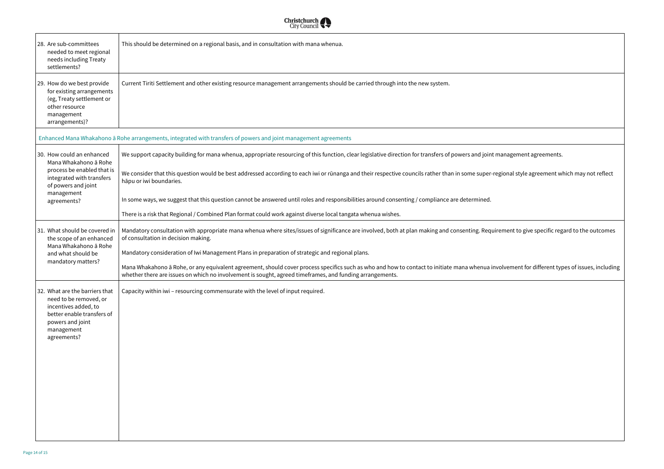anagement agreements.

ional style agreement which may not reflect

 $m$ ent to give specific regard to the outcomes

) lvement for different types of issues, including



| 28. Are sub-committees                                                                                                                                          | This should be determined on a regional basis, and in consultation with mana whenua.                                                                                                                                                                        |
|-----------------------------------------------------------------------------------------------------------------------------------------------------------------|-------------------------------------------------------------------------------------------------------------------------------------------------------------------------------------------------------------------------------------------------------------|
| needed to meet regional<br>needs including Treaty<br>settlements?                                                                                               |                                                                                                                                                                                                                                                             |
| 29. How do we best provide<br>for existing arrangements<br>(eg, Treaty settlement or<br>other resource<br>management<br>arrangements)?                          | Current Tiriti Settlement and other existing resource management arrangements should be carried through into the new system.                                                                                                                                |
|                                                                                                                                                                 | Enhanced Mana Whakahono ā Rohe arrangements, integrated with transfers of powers and joint management agreements                                                                                                                                            |
| 30. How could an enhanced<br>Mana Whakahono ā Rohe                                                                                                              | We support capacity building for mana whenua, appropriate resourcing of this function, clear legislative direction for transfers of powers and joint ma                                                                                                     |
| process be enabled that is<br>integrated with transfers<br>of powers and joint                                                                                  | We consider that this question would be best addressed according to each iwi or rūnanga and their respective councils rather than in some super-regi<br>hāpu or iwi boundaries.                                                                             |
| management<br>agreements?                                                                                                                                       | In some ways, we suggest that this question cannot be answered until roles and responsibilities around consenting / compliance are determined.                                                                                                              |
|                                                                                                                                                                 | There is a risk that Regional / Combined Plan format could work against diverse local tangata whenua wishes.                                                                                                                                                |
| 31. What should be covered in<br>the scope of an enhanced<br>Mana Whakahono ā Rohe<br>and what should be<br>mandatory matters?                                  | Mandatory consultation with appropriate mana whenua where sites/issues of significance are involved, both at plan making and consenting. Requirer<br>of consultation in decision making.                                                                    |
|                                                                                                                                                                 | Mandatory consideration of Iwi Management Plans in preparation of strategic and regional plans.                                                                                                                                                             |
|                                                                                                                                                                 | Mana Whakahono ā Rohe, or any equivalent agreement, should cover process specifics such as who and how to contact to initiate mana whenua invol<br>whether there are issues on which no involvement is sought, agreed timeframes, and funding arrangements. |
| 32. What are the barriers that<br>need to be removed, or<br>incentives added, to<br>better enable transfers of<br>powers and joint<br>management<br>agreements? | Capacity within iwi - resourcing commensurate with the level of input required.                                                                                                                                                                             |